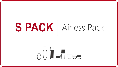# S PACK | Airless Pack

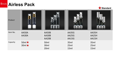



| Product  |                              |                                  |                                              |                         |
|----------|------------------------------|----------------------------------|----------------------------------------------|-------------------------|
| Item No. | AA50A<br>AA30A               | AA50B<br>AA30B<br>AA20B          | <b>AA35G</b><br><b>AA25G</b><br><b>AA15G</b> | AA35H<br>AA25H<br>AA15H |
| Capacity | $50ml \star$<br>$30ml \star$ | 50ml<br>30ml<br>20 <sub>ml</sub> | 35ml<br>25ml<br>15ml                         | 35ml<br>25ml<br>15ml    |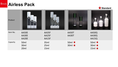



| Product  |                         |                         |                                 | ÌI                                              |
|----------|-------------------------|-------------------------|---------------------------------|-------------------------------------------------|
| Item No. | AA50E<br>AA30E<br>AA20E | AA35F<br>AA25F<br>AA15F | AA50T<br>AA30T                  | AA50Q<br>AA30Q<br>AA15Q                         |
| Capacity | 50ml<br>30ml<br>20ml    | 35ml<br>25ml<br>15ml    | 50ml $\star$<br>30ml $\bigstar$ | 50ml $\star$<br>30ml $\star$<br>15ml $\bigstar$ |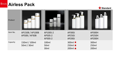

| Product  |                                         |                                   |                                                       |                                                 |
|----------|-----------------------------------------|-----------------------------------|-------------------------------------------------------|-------------------------------------------------|
| Item No. | AP150B / AP100B<br><b>AP50B / AP30B</b> | AP100S-2<br>AP50S-2<br>AP30S-2    | <b>AP300J</b><br><b>AP250J</b><br><b>AP200J</b>       | <b>AP300H</b><br><b>AP250H</b><br><b>AP200H</b> |
| Capacity | 150ml / 100ml<br>50ml / 30ml            | 100ml<br>50 <sub>ml</sub><br>30ml | 300ml $\star$<br>250ml $\bigstar$<br>200ml $\bigstar$ | 300ml<br>250ml<br>200ml                         |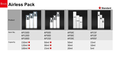



| Product  |               |              |                  |       |
|----------|---------------|--------------|------------------|-------|
| Item No. | <b>AP150D</b> | AP50D        | AP50C            | AP15F |
|          | <b>AP120D</b> | AP30D        | AP30C            | AP10F |
|          | <b>AP100D</b> | <b>AP15D</b> | AP20C            | AP05F |
| Capacity | 150ml $\star$ | 50ml $\star$ | 50 <sub>ml</sub> | 15ml  |
|          | 120ml $\star$ | $30ml \star$ | 30ml             | 10ml  |
|          | 100ml $\star$ | 15ml $\star$ | 20ml             | 5ml   |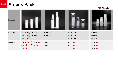

| Product  |                                                                |                |                                              |                                                 |
|----------|----------------------------------------------------------------|----------------|----------------------------------------------|-------------------------------------------------|
| Item No. | AP15W / AP10W<br>AP08W / AP05W<br>AP03W                        | AP50P<br>AP30P | WAP50T<br>WAP30T<br>WAP15T                   | AP50V<br>AP30V<br><b>AP15V</b>                  |
| Capacity | $15ml \star /10ml \star$<br>$8ml \star$<br>/5ml<br>$3ml \star$ | 50ml<br>30ml   | $50ml \star$<br>$30ml \star$<br>15ml $\star$ | 50ml $\bigstar$<br>30ml $\star$<br>15ml $\star$ |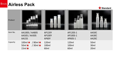

| Product  |                                                                             |                                         |                                    |                                              |
|----------|-----------------------------------------------------------------------------|-----------------------------------------|------------------------------------|----------------------------------------------|
| Item No. | AA100S / AA80S<br><b>AA50S / AA30S</b><br><b>AA15S</b>                      | <b>AP120Y</b><br><b>AP100Y</b><br>AP60Y | AP120S-1<br>AP100S-1<br>AP60S-1    | AA50C<br>AA30C<br>AA20C                      |
| Capacity | $100ml \star / 80ml \star$<br>$50ml \star$<br>$/30ml \star$<br>$15ml \star$ | 120ml<br>100ml<br>60 <sub>ml</sub>      | 120ml<br>100ml<br>60 <sub>ml</sub> | 50 <sub>ml</sub><br>30ml<br>20 <sub>ml</sub> |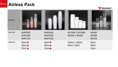



| Product  |                                              |                                              |                                         |                         |
|----------|----------------------------------------------|----------------------------------------------|-----------------------------------------|-------------------------|
| Item No. | WAP50D<br>WAP30D<br>WAP15D                   | WAP50Q<br>WAP30Q<br>WAP15Q                   | AP150A / AP100A<br><b>AP50A / AP30A</b> | AA50K<br>AA30K<br>AA15K |
| Capacity | 50ml $\star$<br>$30ml \star$<br>$15ml \star$ | $50ml \star$<br>$30ml \star$<br>$15ml \star$ | 150ml / 100ml<br>50ml / 30ml            | 50ml<br>30ml<br>15ml    |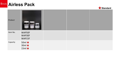



| Product  |                                                 |  |  |
|----------|-------------------------------------------------|--|--|
| Item No. | WAP50F<br>WAP30F<br>WAP15F                      |  |  |
| Capacity | 50ml $\star$<br>$30ml \star$<br>15ml $\bigstar$ |  |  |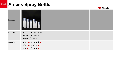# **Airless Spray Bottle**



| Product  |                                                                                          |  |  |
|----------|------------------------------------------------------------------------------------------|--|--|
| Item No. | SAP150D / SAP120D<br>SAP100D / SAP50D<br>SAP30D / SAP15D                                 |  |  |
| Capacity | 150ml $\star$ / 120ml $\star$<br>$100ml \star / 50ml \star$<br>$30ml \star / 15ml \star$ |  |  |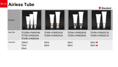## **Airless Tube**



| Product  |                                                     |                                                  |                                                  |                                                  |
|----------|-----------------------------------------------------|--------------------------------------------------|--------------------------------------------------|--------------------------------------------------|
| Item No. | TE100B-LPA002AN<br>TE75B-LPA002AN<br>TE50B-LPA002AN | <b>TE50A-LPA002A18</b><br><b>TE30A-LPA002A18</b> | <b>TE50A-LPA002B18</b><br><b>TE30A-LPA002B18</b> | <b>TE50A-LPA002C18</b><br><b>TE30A-LPA002C18</b> |
| Capacity | 100ml<br>75ml<br>50 <sub>ml</sub>                   | 50ml<br>30ml                                     | 50 <sub>ml</sub><br>30ml                         | 50ml $\star$<br>30ml $\star$                     |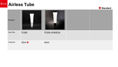



| Product  |              | $\circ$       |  |
|----------|--------------|---------------|--|
| Item No. | TE30E        | TE50A-SPA002A |  |
| Capacity | $30ml \star$ | 50ml          |  |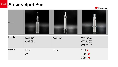

| Product  |                  |        |                                             |
|----------|------------------|--------|---------------------------------------------|
| Item No. | WAP10J<br>WAP05J | WAP10T | WAP05Z<br>WAP10Z<br>WAP20Z                  |
| Capacity | 10ml<br>5ml      | 10ml   | $5ml \star$<br>$10ml \star$<br>$20ml \star$ |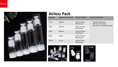

| Capacity         | <b>Suggested Products</b> | <b>Closure Option</b>       | <b>Second Treatment</b>                          |
|------------------|---------------------------|-----------------------------|--------------------------------------------------|
| 15ml             | Essence                   | Lotion Pump/<br>Mist Spryer | <b>Frosted Treatment</b><br>Silk Screen Printing |
| 30 <sub>ml</sub> | Essence                   | Lotion Pump/<br>Mist Spryer | Cap with Hot Stamping Ring<br>$\bullet$          |
| 50 <sub>ml</sub> | Essence                   | Lotion Pump/<br>Mist Spryer |                                                  |
| 80 <sub>ml</sub> | Lotion                    | Lotion Pump/<br>Mist Spryer |                                                  |
| 100ml            | Lotion                    | Lotion Pump/<br>Mist Spryer |                                                  |





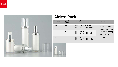

| Capacity         | Suggested<br><b>Products</b> | <b>Closure Option</b>                                  | <b>Second Treatment</b>                                 |
|------------------|------------------------------|--------------------------------------------------------|---------------------------------------------------------|
| 15ml             | Essence                      | Shiny Silver Alum Pump<br>Shiny Sliver Shoulder Collar | <b>Frosted Treatment</b><br>Lacquer Treatment           |
| 30 <sub>ml</sub> | Essence                      | Shiny Silver Alum Pump<br>Shiny Sliver Shoulder Collar | Silk Screen Printing<br><b>Hot Stamping</b><br>Printing |
| 50 <sub>ml</sub> | Essence                      | Shiny Silver Alum Pump<br>Shiny Sliver Shoulder Collar |                                                         |

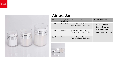

#### **Airless Jar**

| Capacity         | Suggested<br><b>Products</b> | <b>Closure Option</b>                                 | <b>Second Treatment</b>                              |
|------------------|------------------------------|-------------------------------------------------------|------------------------------------------------------|
| 15ml             | Eye Cream                    | White Shoulder Collar<br>Shiny Sliver Shoulder Collar | <b>Frosted Treatment</b><br>Lacquer Treatment        |
| 30 <sub>ml</sub> | Cream                        | White Shoulder Collar<br>Shiny Sliver Shoulder Collar | Silk Screen Printing<br><b>Hot Stamping Printing</b> |
| 50 <sub>ml</sub> | Cream                        | White Shoulder Collar<br>Shiny Sliver Shoulder Collar |                                                      |

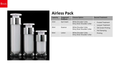

| Capacity         | Suggested<br><b>Products</b> | <b>Closure Option</b>                                 | <b>Second Treatment</b>                              |
|------------------|------------------------------|-------------------------------------------------------|------------------------------------------------------|
| 15ml             | Eye Cream                    | White Shoulder Collar<br>Shiny Sliver Shoulder Collar | <b>Frosted Treatment</b><br><b>Lacquer Treatment</b> |
| 30 <sub>ml</sub> | Essence                      | White Shoulder Collar<br>Shiny Sliver Shoulder Collar | Silk Screen Printing<br><b>Hot Stamping</b>          |
| 50 <sub>ml</sub> | Lotion                       | White Shoulder Collar<br>Shiny Sliver Shoulder Collar | Printing                                             |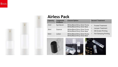



| Capacity         | Suggested<br><b>Products</b> | <b>Closure Option</b>                                          | <b>Second Treatment</b>                                       |
|------------------|------------------------------|----------------------------------------------------------------|---------------------------------------------------------------|
| 15ml             | Eye Serum                    | White/Black/Shiny Silver Pump<br>White/Black/Shiny Silver Base | <b>Frosted Treatment</b><br>$\bullet$                         |
| 30 <sub>ml</sub> | Essence                      | White/Black/Shiny Silver Pump<br>White/Black/Shiny Silver Base | Lacquer Treatment<br>$\bullet$<br><b>Silk Screen Printing</b> |
| 50 <sub>ml</sub> | Lotion                       | White/Black/Shiny Silver Pump<br>White/Black/Shiny Silver Base | <b>Hot Stamping Printing</b><br>$\bullet$                     |





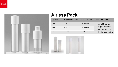

| Capacity         | <b>Suggested Products</b> | <b>Closure Option</b> | <b>Second Treatment</b>                          |
|------------------|---------------------------|-----------------------|--------------------------------------------------|
| 15ml             | Essence                   | White Pump            | <b>Frosted Treatment</b>                         |
| 30 <sub>ml</sub> | Essence                   | White Pump            | Lacquer Treatment<br><b>Silk Screen Printing</b> |
| 50 <sub>ml</sub> | Essence                   | White Pump            | <b>Hot Stamping Printing</b><br>$\bullet$        |

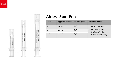



| Capacity         | <b>Suggested Products</b> | <b>Closure Option</b> | <b>Second Treatment</b>                                 |
|------------------|---------------------------|-----------------------|---------------------------------------------------------|
| 5 <sub>ml</sub>  | Essence                   | N/A                   | <b>Frosted Treatment</b><br>$\bullet$                   |
| 10 <sub>ml</sub> | Essence                   | N/A                   | <b>Lacquer Treatment</b><br><b>Silk Screen Printing</b> |
| 15ml             | Essence                   | N/A                   | <b>Hot Stamping Printing</b>                            |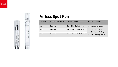

KSUN EYE CREAM Night<br>Co

紧装

| Capacity         | <b>Suggested Products</b> | <b>Closure Option</b>                   | <b>Second Treatment</b>                                 |
|------------------|---------------------------|-----------------------------------------|---------------------------------------------------------|
| 5 <sub>ml</sub>  | Essence                   | <b>Shiny Silver Collar &amp; Button</b> | <b>Frosted Treatment</b>                                |
| 10 <sub>ml</sub> | Essence                   | <b>Shiny Silver Collar &amp; Button</b> | <b>Lacquer Treatment</b><br><b>Silk Screen Printing</b> |
| 15ml             | Essence                   | <b>Shiny Silver Collar &amp; Button</b> | <b>Hot Stamping Printing</b>                            |